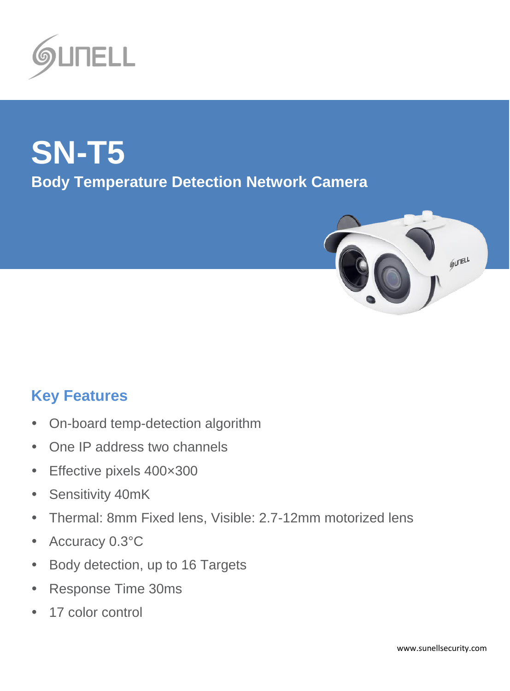

# **SN-T5 Body Temperature Detection Network Camera**



## **Key Features**

- On-board temp-detection algorithm
- One IP address two channels
- Effective pixels 400×300
- Sensitivity 40mK
- Thermal: 8mm Fixed lens, Visible: 2.7-12mm motorized lens
- Accuracy 0.3°C
- Body detection, up to 16 Targets
- Response Time 30ms
- 17 color control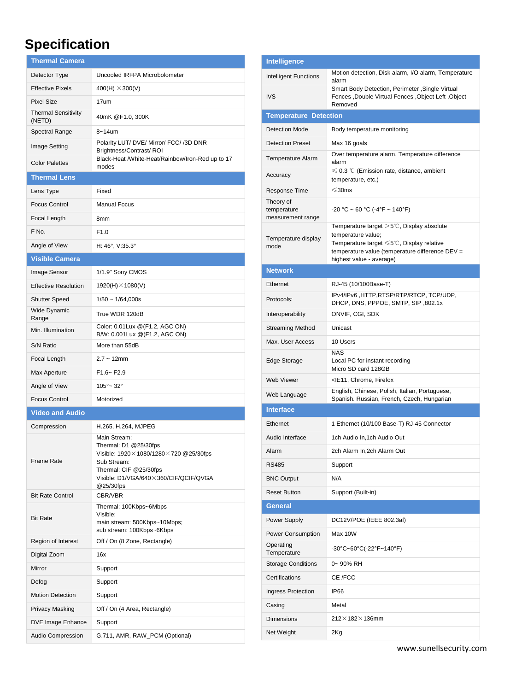### **Specification**

| <b>Thermal Camera</b>                |                                                                                                                                                                                                |
|--------------------------------------|------------------------------------------------------------------------------------------------------------------------------------------------------------------------------------------------|
| Detector Type                        | Uncooled IRFPA Microbolometer                                                                                                                                                                  |
| <b>Effective Pixels</b>              | 400(H) $\times$ 300(V)                                                                                                                                                                         |
| <b>Pixel Size</b>                    | 17um                                                                                                                                                                                           |
| <b>Thermal Sensitivity</b><br>(NETD) | 40mK @F1.0, 300K                                                                                                                                                                               |
| Spectral Range                       | $8 - 14$ um                                                                                                                                                                                    |
| Image Setting                        | Polarity LUT/ DVE/ Mirror/ FCC/ /3D DNR<br>Brightness/Contrast/ROI                                                                                                                             |
| <b>Color Palettes</b>                | Black-Heat /White-Heat/Rainbow/Iron-Red up to 17<br>modes                                                                                                                                      |
| <b>Thermal Lens</b>                  |                                                                                                                                                                                                |
| Lens Type                            | Fixed                                                                                                                                                                                          |
| <b>Focus Control</b>                 | <b>Manual Focus</b>                                                                                                                                                                            |
| Focal Length                         | 8mm                                                                                                                                                                                            |
| F No.                                | F1.0                                                                                                                                                                                           |
| Angle of View                        | H: 46°, V:35.3°                                                                                                                                                                                |
| <b>Visible Camera</b>                |                                                                                                                                                                                                |
| Image Sensor                         | 1/1.9" Sony CMOS                                                                                                                                                                               |
| <b>Effective Resolution</b>          | $1920(H) \times 1080(V)$                                                                                                                                                                       |
| <b>Shutter Speed</b>                 | $1/50 \sim 1/64,000s$                                                                                                                                                                          |
| Wide Dynamic<br>Range                | True WDR 120dB                                                                                                                                                                                 |
| Min. Illumination                    | Color: 0.01Lux @(F1.2, AGC ON)<br>B/W: 0.001Lux @(F1.2, AGC ON)                                                                                                                                |
| S/N Ratio                            | More than 55dB                                                                                                                                                                                 |
| Focal Length                         | $2.7 - 12$ mm                                                                                                                                                                                  |
| Max Aperture                         | $F1.6 - F2.9$                                                                                                                                                                                  |
| Angle of View                        | $105^{\circ}$ ~ 32°                                                                                                                                                                            |
| <b>Focus Control</b>                 | Motorized                                                                                                                                                                                      |
| <b>Video and Audio</b>               |                                                                                                                                                                                                |
| Compression                          | H.265, H.264, MJPEG                                                                                                                                                                            |
| <b>Frame Rate</b>                    | Main Stream:<br>Thermal: D1 @25/30fps<br>Visible: $1920 \times 1080/1280 \times 720$ @ 25/30fps<br>Sub Stream:<br>Thermal: CIF @25/30fps<br>Visible: D1/VGA/640×360/CIF/QCIF/QVGA<br>@25/30fps |
| <b>Bit Rate Control</b>              | CBR/VBR                                                                                                                                                                                        |
| <b>Bit Rate</b>                      | Thermal: 100Kbps~6Mbps<br>Visible:<br>main stream: 500Kbps~10Mbps;<br>sub stream: 100Kbps~6Kbps                                                                                                |
| Region of Interest                   | Off / On (8 Zone, Rectangle)                                                                                                                                                                   |
| Digital Zoom                         | 16x                                                                                                                                                                                            |
| Mirror                               | Support                                                                                                                                                                                        |
| Defog                                | Support                                                                                                                                                                                        |
| <b>Motion Detection</b>              | Support                                                                                                                                                                                        |
| <b>Privacy Masking</b>               | Off / On (4 Area, Rectangle)                                                                                                                                                                   |
| <b>DVE Image Enhance</b>             | Support                                                                                                                                                                                        |
| Audio Compression                    | G.711, AMR, RAW_PCM (Optional)                                                                                                                                                                 |

| Intelligence                                  |                                                                                                                                                                                                                     |  |
|-----------------------------------------------|---------------------------------------------------------------------------------------------------------------------------------------------------------------------------------------------------------------------|--|
| Intelligent Functions                         | Motion detection, Disk alarm, I/O alarm, Temperature<br>alarm                                                                                                                                                       |  |
| <b>IVS</b>                                    | Smart Body Detection, Perimeter, Single Virtual<br>Fences , Double Virtual Fences , Object Left , Object<br>Removed                                                                                                 |  |
| <b>Temperature Detection</b>                  |                                                                                                                                                                                                                     |  |
| <b>Detection Mode</b>                         | Body temperature monitoring                                                                                                                                                                                         |  |
| <b>Detection Preset</b>                       | Max 16 goals                                                                                                                                                                                                        |  |
| <b>Temperature Alarm</b>                      | Over temperature alarm, Temperature difference<br>alarm                                                                                                                                                             |  |
| Accuracy                                      | $\leqslant$ 0.3 °C (Emission rate, distance, ambient<br>temperature, etc.)                                                                                                                                          |  |
| Response Time                                 | $≤30ms$                                                                                                                                                                                                             |  |
| Theory of<br>temperature<br>measurement range | $-20 °C \sim 60 °C$ (-4°F ~ 140°F)                                                                                                                                                                                  |  |
| Temperature display<br>mode                   | Temperature target $>5^{\circ}$ C, Display absolute<br>temperature value;<br>Temperature target $\leq 5^{\circ}$ C, Display relative<br>temperature value (temperature difference DEV =<br>highest value - average) |  |
| <b>Network</b>                                |                                                                                                                                                                                                                     |  |
| Ethernet                                      | RJ-45 (10/100Base-T)                                                                                                                                                                                                |  |
| Protocols:                                    | IPv4/IPv6, HTTP, RTSP/RTP/RTCP, TCP/UDP,<br>DHCP, DNS, PPPOE, SMTP, SIP, 802.1x                                                                                                                                     |  |
| Interoperability                              | ONVIF, CGI, SDK                                                                                                                                                                                                     |  |
| <b>Streaming Method</b>                       | Unicast                                                                                                                                                                                                             |  |
| Max. User Access                              | 10 Users                                                                                                                                                                                                            |  |
| Edge Storage                                  | <b>NAS</b><br>Local PC for instant recording<br>Micro SD card 128GB                                                                                                                                                 |  |
| <b>Web Viewer</b>                             | <ie11, chrome,="" firefox<="" td=""></ie11,>                                                                                                                                                                        |  |
| Web Language                                  | English, Chinese, Polish, Italian, Portuguese,<br>Spanish. Russian, French, Czech, Hungarian                                                                                                                        |  |
| <b>Interface</b>                              |                                                                                                                                                                                                                     |  |
| Ethernet                                      | 1 Ethernet (10/100 Base-T) RJ-45 Connector                                                                                                                                                                          |  |
| Audio Interface                               | 1ch Audio In,1ch Audio Out                                                                                                                                                                                          |  |
| Alarm                                         | 2ch Alarm In, 2ch Alarm Out                                                                                                                                                                                         |  |
| <b>RS485</b>                                  | Support                                                                                                                                                                                                             |  |
| <b>BNC Output</b>                             | N/A                                                                                                                                                                                                                 |  |
| <b>Reset Button</b>                           | Support (Built-in)                                                                                                                                                                                                  |  |
| General                                       |                                                                                                                                                                                                                     |  |
| Power Supply                                  | DC12V/POE (IEEE 802.3af)                                                                                                                                                                                            |  |
| Power Consumption                             | Max 10W                                                                                                                                                                                                             |  |
| Operating<br>Temperature                      | -30°C~60°C(-22°F~140°F)                                                                                                                                                                                             |  |
| <b>Storage Conditions</b>                     | 0~90% RH                                                                                                                                                                                                            |  |
| Certifications                                | CE /FCC                                                                                                                                                                                                             |  |
| Ingress Protection                            | IP <sub>66</sub>                                                                                                                                                                                                    |  |
| Casing                                        | Metal                                                                                                                                                                                                               |  |
| <b>Dimensions</b>                             | $212\times182\times136$ mm                                                                                                                                                                                          |  |
| Net Weight                                    | 2Kg                                                                                                                                                                                                                 |  |